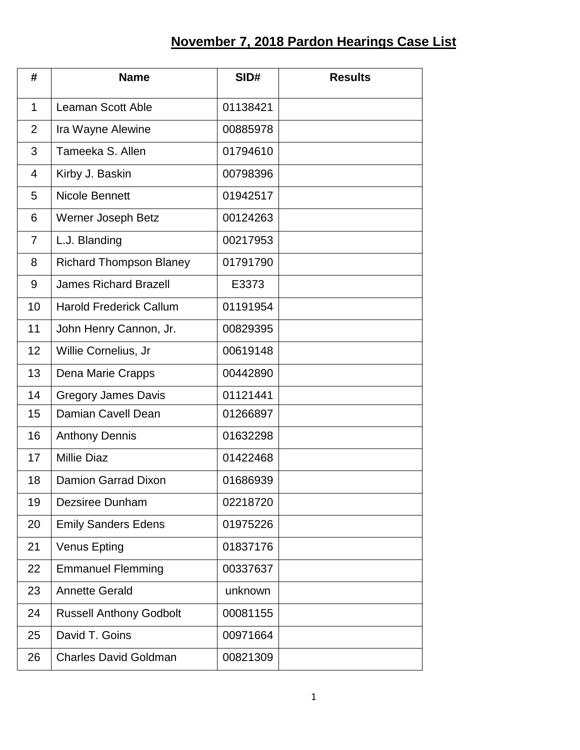## **November 7, 2018 Pardon Hearings Case List**

| #              | <b>Name</b>                    | SID#     | <b>Results</b> |
|----------------|--------------------------------|----------|----------------|
| $\mathbf{1}$   | <b>Leaman Scott Able</b>       | 01138421 |                |
| $\overline{2}$ | Ira Wayne Alewine              | 00885978 |                |
| 3              | Tameeka S. Allen               | 01794610 |                |
| 4              | Kirby J. Baskin                | 00798396 |                |
| 5              | <b>Nicole Bennett</b>          | 01942517 |                |
| 6              | Werner Joseph Betz             | 00124263 |                |
| $\overline{7}$ | L.J. Blanding                  | 00217953 |                |
| 8              | <b>Richard Thompson Blaney</b> | 01791790 |                |
| 9              | <b>James Richard Brazell</b>   | E3373    |                |
| 10             | <b>Harold Frederick Callum</b> | 01191954 |                |
| 11             | John Henry Cannon, Jr.         | 00829395 |                |
| 12             | Willie Cornelius, Jr           | 00619148 |                |
| 13             | Dena Marie Crapps              | 00442890 |                |
| 14             | <b>Gregory James Davis</b>     | 01121441 |                |
| 15             | Damian Cavell Dean             | 01266897 |                |
| 16             | <b>Anthony Dennis</b>          | 01632298 |                |
| 17             | <b>Millie Diaz</b>             | 01422468 |                |
| 18             | <b>Damion Garrad Dixon</b>     | 01686939 |                |
| 19             | Dezsiree Dunham                | 02218720 |                |
| 20             | <b>Emily Sanders Edens</b>     | 01975226 |                |
| 21             | <b>Venus Epting</b>            | 01837176 |                |
| 22             | <b>Emmanuel Flemming</b>       | 00337637 |                |
| 23             | <b>Annette Gerald</b>          | unknown  |                |
| 24             | <b>Russell Anthony Godbolt</b> | 00081155 |                |
| 25             | David T. Goins                 | 00971664 |                |
| 26             | <b>Charles David Goldman</b>   | 00821309 |                |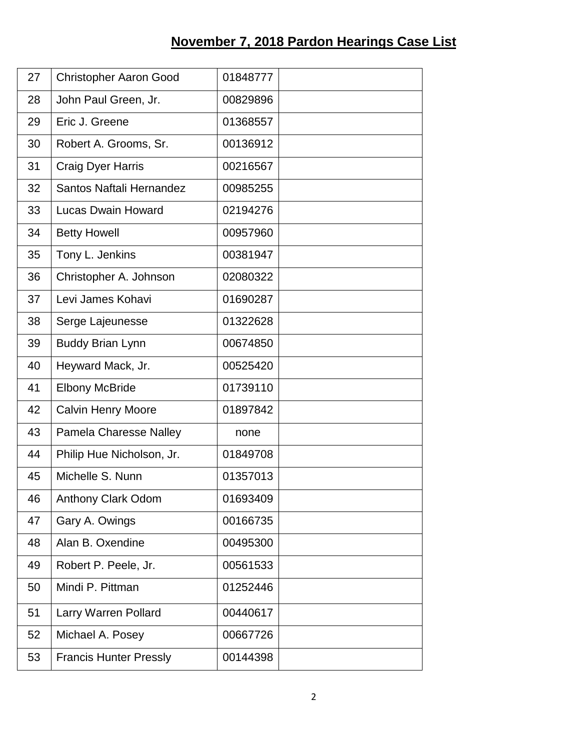## **November 7, 2018 Pardon Hearings Case List**

| 27 | <b>Christopher Aaron Good</b> | 01848777 |  |
|----|-------------------------------|----------|--|
| 28 | John Paul Green, Jr.          | 00829896 |  |
| 29 | Eric J. Greene                | 01368557 |  |
| 30 | Robert A. Grooms, Sr.         | 00136912 |  |
| 31 | <b>Craig Dyer Harris</b>      | 00216567 |  |
| 32 | Santos Naftali Hernandez      | 00985255 |  |
| 33 | <b>Lucas Dwain Howard</b>     | 02194276 |  |
| 34 | <b>Betty Howell</b>           | 00957960 |  |
| 35 | Tony L. Jenkins               | 00381947 |  |
| 36 | Christopher A. Johnson        | 02080322 |  |
| 37 | Levi James Kohavi             | 01690287 |  |
| 38 | Serge Lajeunesse              | 01322628 |  |
| 39 | <b>Buddy Brian Lynn</b>       | 00674850 |  |
| 40 | Heyward Mack, Jr.             | 00525420 |  |
| 41 | <b>Elbony McBride</b>         | 01739110 |  |
| 42 | <b>Calvin Henry Moore</b>     | 01897842 |  |
| 43 | <b>Pamela Charesse Nalley</b> | none     |  |
| 44 | Philip Hue Nicholson, Jr.     | 01849708 |  |
| 45 | Michelle S. Nunn              | 01357013 |  |
| 46 | <b>Anthony Clark Odom</b>     | 01693409 |  |
| 47 | Gary A. Owings                | 00166735 |  |
| 48 | Alan B. Oxendine              | 00495300 |  |
| 49 | Robert P. Peele, Jr.          | 00561533 |  |
| 50 | Mindi P. Pittman              | 01252446 |  |
| 51 | Larry Warren Pollard          | 00440617 |  |
| 52 | Michael A. Posey              | 00667726 |  |
| 53 | <b>Francis Hunter Pressly</b> | 00144398 |  |